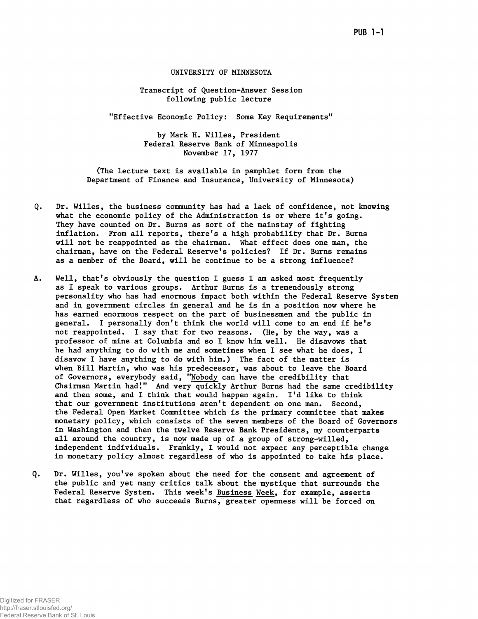## UNIVERSITY OF MINNESOTA

Transcript of Question-Answer Session following public lecture

"Effective Economic Policy: Some Key Requirements"

by Mark H. Willes, President Federal Reserve Bank of Minneapolis November 17, 1977

(The lecture text is available in pamphlet form from the Department of Finance and Insurance, University of Minnesota)

- Q. Dr. Willes, the business community has had a lack of confidence, not knowing what the economic policy of the Administration is or where it's going. They have counted on Dr. Burns as sort of the mainstay of fighting inflation. From all reports, there's a high probability that Dr. Burns will not be reappointed as the chairman. What effect does one man, the chairman, have on the Federal Reserve's policies? If Dr. Burns remains as a member of the Board, will he continue to be a strong influence?
- A. Well, that's obviously the question I guess I am asked most frequently as I speak to various groups. Arthur Burns is a tremendously strong personality who has had enormous impact both within the Federal Reserve System and in government circles in general and he is in a position now where he has earned enormous respect on the part of businessmen and the public in general. I personally don't think the world will come to an end if he's not reappointed. I say that for two reasons. (He, by the way, was a professor of mine at Columbia and so I know him well. He disavows that he had anything to do with me and sometimes when I see what he does, I disavow I have anything to do with him.) The fact of the matter is when Bill Martin, who was his predecessor, was about to leave the Board of Governors, everybody said, "Nobody can have the credibility that Chairman Martin had!" And very quickly Arthur Burns had the same credibility and then some, and I think that would happen again. I'd like to think that our government institutions aren't dependent on one man. Second, the Federal Open Market Committee which is the primary committee that makes monetary policy, which consists of the seven members of the Board of Governors in Washington and then the twelve Reserve Bank Presidents, my counterparts all around the country, is now made up of a group of strong-willed, independent individuals. Frankly, I would not expect any perceptible change in monetary policy almost regardless of who is appointed to take his place.
- Q. Dr. Willes, you've spoken about the need for the consent and agreement of the public and yet many critics talk about the mystique that surrounds the Federal Reserve System. This week's Business Week, for example, asserts that regardless of who succeeds Burns, greater openness will be forced on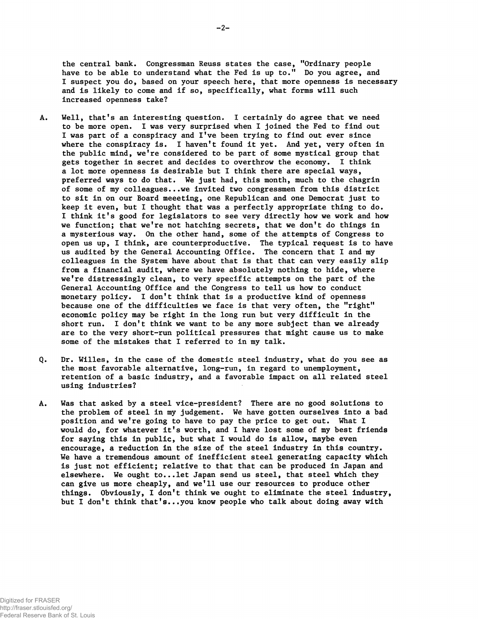the central bank. Congressman Reuss states the case, "Ordinary people have to be able to understand what the Fed is up to." Do you agree, and I suspect you do, based on your speech here, that more openness is necessary and is likely to come and if so, specifically, what forms will such increased openness take?

- A. Well, that's an interesting question. I certainly do agree that we need to be more open. I was very surprised when I joined the Fed to find out I was part of a conspiracy and I've been trying to find out ever since where the conspiracy is. I haven't found it yet. And yet, very often in the public mind, we're considered to be part of some mystical group that gets together in secret and decides to overthrow the economy. I think a lot more openness is desirable but I think there are special ways, preferred ways to do that. We just had, this month, much to the chagrin of some of my colleagues...we invited two congressmen from this district to sit in on our Board meeeting, one Republican and one Democrat just to keep it even, but I thought that was a perfectly appropriate thing to do. I think it's good for legislators to see very directly how we work and how we function; that we're not hatching secrets, that we don't do things in a mysterious way. On the other hand, some of the attempts of Congress to open us up, I think, are counterproductive. The typical request is to have us audited by the General Accounting Office. The concern that I and my colleagues in the System have about that is that that can very easily slip from a financial audit, where we have absolutely nothing to hide, where we're distressingly clean, to very specific attempts on the part of the General Accounting Office and the Congress to tell us how to conduct monetary policy. I don't think that is a productive kind of openness because one of the difficulties we face is that very often, the "right" economic policy may be right in the long run but very difficult in the short run. I don't think we want to be any more subject than we already are to the very short-run political pressures that might cause us to make some of the mistakes that I referred to in my talk.
- Q. Dr. Willes, in the case of the domestic steel industry, what do you see as the most favorable alternative, long-run, in regard to unemployment, retention of a basic industry, and a favorable impact on all related steel using industries?
- A. Was that asked by a steel vice-president? There are no good solutions to the problem of steel in my judgement. We have gotten ourselves into a bad position and we're going to have to pay the price to get out. What I would do, for whatever it's worth, and I have lost some of my best friends for saying this in public, but what I would do is allow, maybe even encourage, a reduction in the size of the steel industry in this country. We have a tremendous amount of inefficient steel generating capacity which is just not efficient; relative to that that can be produced in Japan and elsewhere. We ought to...let Japan send us steel, that steel which they can give us more cheaply, and we'll use our resources to produce other things. Obviously, I don't think we ought to eliminate the steel industry, but I don't think that's...you know people who talk about doing away with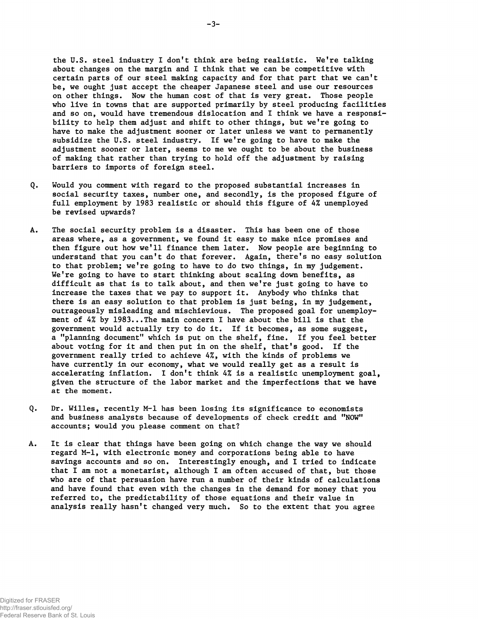the U.S. steel industry I don't think are being realistic. We're talking about changes on the margin and I think that we can be competitive with certain parts of our steel making capacity and for that part that we can't be, we ought just accept the cheaper Japanese steel and use our resources on other things. Now the human cost of that is very great. Those people who live in towns that are supported primarily by steel producing facilities and so on, would have tremendous dislocation and I think we have a responsibility to help them adjust and shift to other things, but we're going to have to make the adjustment sooner or later unless we want to permanently subsidize the U.S. steel industry. If we're going to have to make the adjustment sooner or later, seems to me we ought to be about the business of making that rather than trying to hold off the adjustment by raising barriers to imports of foreign steel.

- Q. Would you comment with regard to the proposed substantial increases in social security taxes, number one, and secondly, is the proposed figure of full employment by 1983 realistic or should this figure of 4% unemployed be revised upwards?
- The social security problem is a disaster. This has been one of those A. areas where, as a government, we found it easy to make nice promises and then figure out how we'll finance them later. Now people are beginning to understand that you can't do that forever. Again, there's no easy solution to that problem; we're going to have to do two things, in my judgement. We're going to have to start thinking about scaling down benefits, as difficult as that is to talk about, and then we're just going to have to increase the taxes that we pay to support it. Anybody who thinks that there is an easy solution to that problem is just being, in my judgement, outrageously misleading and mischievious. The proposed goal for unemployment of 4% by 1983...The main concern I have about the bill is that the government would actually try to do it. If it becomes, as some suggest, a "planning document" which is put on the shelf, fine. If you feel better about voting for it and then put in on the shelf, that's good. If the government really tried to achieve 4%, with the kinds of problems we have currently in our economy, what we would really get as a result is accelerating inflation. I don't think 4% is a realistic unemployment goal, given the structure of the labor market and the imperfections that we have at the moment.
- Dr. Willes, recently M-l has been losing its significance to economists Q. and business analysts because of developments of check credit and "NOW" accounts; would you please comment on that?
- Α. It is clear that things have been going on which change the way we should regard M-l, with electronic money and corporations being able to have savings accounts and so on. Interestingly enough, and I tried to indicate that I am not a monetarist, although I am often accused of that, but those who are of that persuasion have run a number of their kinds of calculations and have found that even with the changes in the demand for money that you referred to, the predictability of those equations and their value in analysis really hasn't changed very much. So to the extent that you agree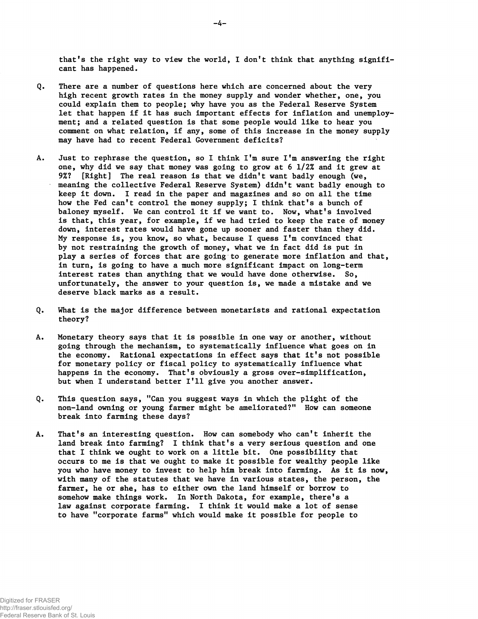that's the right way to view the world, I don't think that anything significant has happened.

- Q. There are a number of questions here which are concerned about the very high recent growth rates in the money supply and wonder whether, one, you could explain them to people; why have you as the Federal Reserve System let that happen if it has such important effects for inflation and unemployment; and a related question is that some people would like to hear you comment on what relation, if any, some of this increase in the money supply may have had to recent Federal Government deficits?
- A. Just to rephrase the question, so I think I'm sure I'm answering the right one, why did we say that money was going to grow at 6 1/2% and it grew at 9%? [Right] The real reason is that we didn't want badly enough (we, meaning the collective Federal Reserve System) didn't want badly enough to keep it down. I read in the paper and magazines and so on all the time how the Fed can't control the money supply; I think that's a bunch of baloney myself. We can control it if we want to. Now, what's involved is that, this year, for example, if we had tried to keep the rate of money down, interest rates would have gone up sooner and faster than they did. My response is, you know, so what, because I quess I'm convinced that by not restraining the growth of money, what we in fact did is put in play a series of forces that are going to generate more inflation and that, in turn, is going to have a much more significant impact on long-term interest rates than anything that we would have done otherwise. So, unfortunately, the answer to your question is, we made a mistake and we deserve black marks as a result.
- Q. What is the major difference between monetarists and rational expectation theory?
- A. Monetary theory says that it is possible in one way or another, without going through the mechanism, to systematically influence what goes on in the economy. Rational expectations in effect says that it's not possible for monetary policy or fiscal policy to systematically influence what happens in the economy. That's obviously a gross over-simplification, but when I understand better I'll give you another answer.
- Q. This question says, "Can you suggest ways in which the plight of the non-land owning or young farmer might be ameliorated?" How can someone break into farming these days?
- A. That's an interesting question. How can somebody who can't inherit the land break into farming? I think that's a very serious question and one that I think we ought to work on a little bit. One possibility that occurs to me is that we ought to make it possible for wealthy people like you who have money to invest to help him break into farming. As it is now, with many of the statutes that we have in various states, the person, the farmer, he or she, has to either own the land himself or borrow to somehow make things work. In North Dakota, for example, there's a law against corporate farming. I think it would make a lot of sense to have "corporate farms" which would make it possible for people to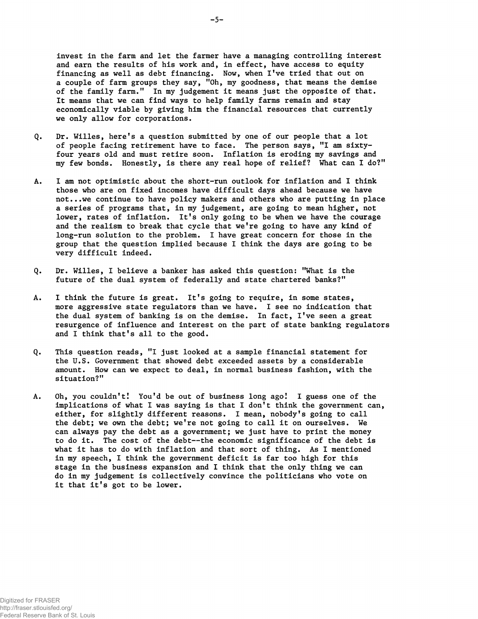invest in the farm and let the farmer have a managing controlling interest and earn the results of his work and, in effect, have access to equity financing as well as debt financing. Now, when I've tried that out on a couple of farm groups they say, "Oh, my goodness, that means the demise of the family farm." In my judgement it means just the opposite of that. It means that we can find ways to help family farms remain and stay economically viable by giving him the financial resources that currently we only allow for corporations.

- Q. Dr. Willes, here's a question submitted by one of our people that a lot of people facing retirement have to face. The person says, "I am sixtyfour years old and must retire soon. Inflation is eroding my savings and my few bonds. Honestly, is there any real hope of relief? What can I do?"
- A. I am not optimistic about the short-run outlook for inflation and I think those who are on fixed incomes have difficult days ahead because we have not...we continue to have policy makers and others who are putting in place a series of programs that, in my judgement, are going to mean higher, not lower, rates of inflation. It's only going to be when we have the courage and the realism to break that cycle that we're going to have any kind of long-run solution to the problem. I have great concern for those in the group that the question implied because I think the days are going to be very difficult indeed.
- Q. Dr. Willes, I believe a banker has asked this question: "What is the future of the dual system of federally and state chartered banks?"
- A. I think the future is great. It's going to require, in some states, more aggressive state regulators than we have. I see no indication that the dual system of banking is on the demise. In fact, I've seen a great resurgence of influence and interest on the part of state banking regulators and I think that's all to the good.
- Q. This question reads, "I just looked at a sample financial statement for the U.S. Government that showed debt exceeded assets by a considerable amount. How can we expect to deal, in normal business fashion, with the situation?"
- A. Oh, you couldn't! You'd be out of business long ago! I guess one of the implications of what I was saying is that I don't think the government can, either, for slightly different reasons. I mean, nobody's going to call the debt; we own the debt; we're not going to call it on ourselves. We can always pay the debt as a government; we just have to print the money to do it. The cost of the debt— the economic significance of the debt is what it has to do with inflation and that sort of thing. As I mentioned in my speech, I think the government deficit is far too high for this stage in the business expansion and I think that the only thing we can do in my judgement is collectively convince the politicians who vote on it that it's got to be lower.